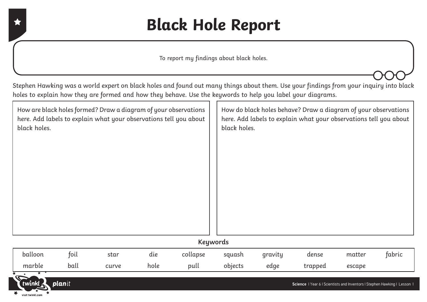## **Black Hole Report**

To report my findings about black holes.

Stephen Hawking was a world expert on black holes and found out many things about them. Use your findings from your inquiry into black holes to explain how they are formed and how they behave. Use the keywords to help you label your diagrams.

| How are black holes formed? Draw a diagram of your observations<br>here. Add labels to explain what your observations tell you about<br>black holes. |  | How do black holes behave? Draw a diagram of your observations<br>here. Add labels to explain what your observations tell you about<br>black holes. |  |  |  |  |
|------------------------------------------------------------------------------------------------------------------------------------------------------|--|-----------------------------------------------------------------------------------------------------------------------------------------------------|--|--|--|--|
|                                                                                                                                                      |  |                                                                                                                                                     |  |  |  |  |
|                                                                                                                                                      |  |                                                                                                                                                     |  |  |  |  |
|                                                                                                                                                      |  |                                                                                                                                                     |  |  |  |  |
|                                                                                                                                                      |  |                                                                                                                                                     |  |  |  |  |
|                                                                                                                                                      |  |                                                                                                                                                     |  |  |  |  |
|                                                                                                                                                      |  |                                                                                                                                                     |  |  |  |  |
|                                                                                                                                                      |  |                                                                                                                                                     |  |  |  |  |
| <b>Keywords</b>                                                                                                                                      |  |                                                                                                                                                     |  |  |  |  |

| balloon | toil | star  | dıe  | collapse | squash  | gravity | dense   | matter | tabric |
|---------|------|-------|------|----------|---------|---------|---------|--------|--------|
| marble  | ball | curve | hole | pull     | objects | edge    | trapped | escape |        |



visit twinkl.con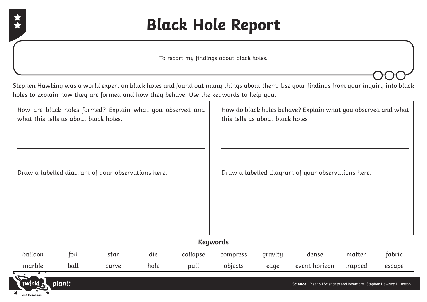

planit

twink

visit twinkl.com

## **Black Hole Report**

To report my findings about black holes.

Stephen Hawking was a world expert on black holes and found out many things about them. Use your findings from your inquiry into black holes to explain how they are formed and how they behave. Use the keywords to help you.

|         | what this tells us about black holes.              |      | How are black holes formed? Explain what you observed and |                 |          | this tells us about black holes                    |       | How do black holes behave? Explain what you observed and what |        |
|---------|----------------------------------------------------|------|-----------------------------------------------------------|-----------------|----------|----------------------------------------------------|-------|---------------------------------------------------------------|--------|
|         | Draw a labelled diagram of your observations here. |      |                                                           |                 |          | Draw a labelled diagram of your observations here. |       |                                                               |        |
|         |                                                    |      |                                                           | <b>Keywords</b> |          |                                                    |       |                                                               |        |
| balloon | foil                                               | star | die                                                       | collapse        | compress | gravity                                            | dense | matter                                                        | fabric |

**Science** | Year 6 | Scientists and Inventors | Stephen Hawking | Lesson 1